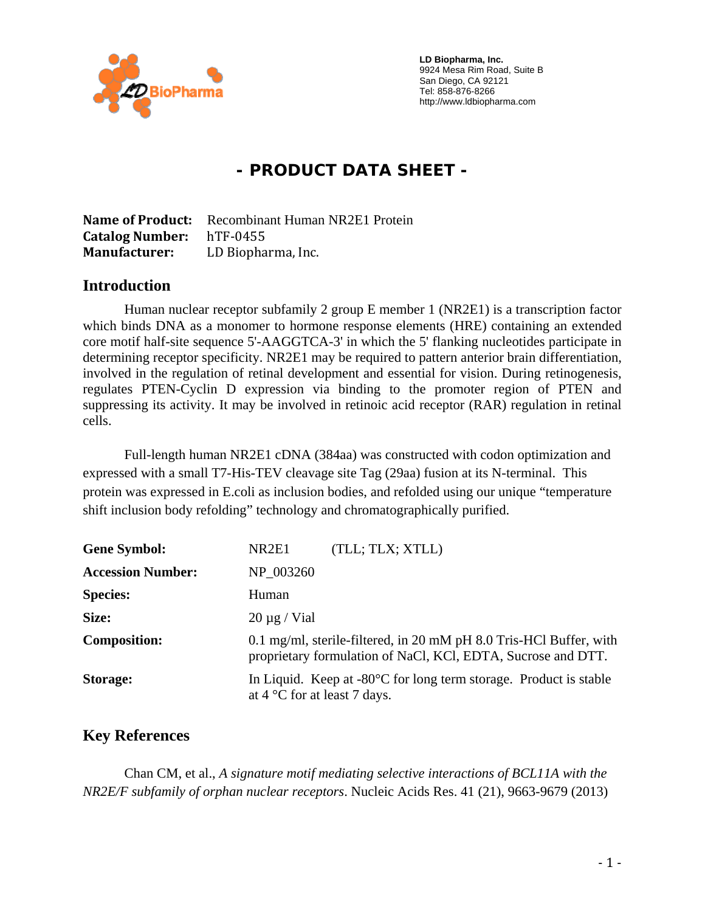

 **LD Biopharma, Inc.**  9924 Mesa Rim Road, Suite B San Diego, CA 92121 Tel: 858-876-8266 http://www.ldbiopharma.com

# **- PRODUCT DATA SHEET -**

**Name of Product:** Recombinant Human NR2E1 Protein **Catalog Number:** hTF‐0455 **Manufacturer:** LD Biopharma, Inc.

#### **Introduction**

Human nuclear receptor subfamily 2 group E member 1 (NR2E1) is a transcription factor which binds DNA as a monomer to hormone response elements (HRE) containing an extended core motif half-site sequence 5'-AAGGTCA-3' in which the 5' flanking nucleotides participate in determining receptor specificity. NR2E1 may be required to pattern anterior brain differentiation, involved in the regulation of retinal development and essential for vision. During retinogenesis, regulates PTEN-Cyclin D expression via binding to the promoter region of PTEN and suppressing its activity. It may be involved in retinoic acid receptor (RAR) regulation in retinal cells.

Full-length human NR2E1 cDNA (384aa) was constructed with codon optimization and expressed with a small T7-His-TEV cleavage site Tag (29aa) fusion at its N-terminal. This protein was expressed in E.coli as inclusion bodies, and refolded using our unique "temperature shift inclusion body refolding" technology and chromatographically purified.

| <b>Gene Symbol:</b>      | (TLL; TLX; XTLL)<br>NR2E1                                                                                                          |
|--------------------------|------------------------------------------------------------------------------------------------------------------------------------|
| <b>Accession Number:</b> | NP 003260                                                                                                                          |
| <b>Species:</b>          | Human                                                                                                                              |
| Size:                    | $20 \mu g$ / Vial                                                                                                                  |
| <b>Composition:</b>      | 0.1 mg/ml, sterile-filtered, in 20 mM pH 8.0 Tris-HCl Buffer, with<br>proprietary formulation of NaCl, KCl, EDTA, Sucrose and DTT. |
| Storage:                 | In Liquid. Keep at $-80^{\circ}$ C for long term storage. Product is stable<br>at $4^{\circ}$ C for at least 7 days.               |

### **Key References**

Chan CM, et al., *A signature motif mediating selective interactions of BCL11A with the NR2E/F subfamily of orphan nuclear receptors*. Nucleic Acids Res. 41 (21), 9663-9679 (2013)